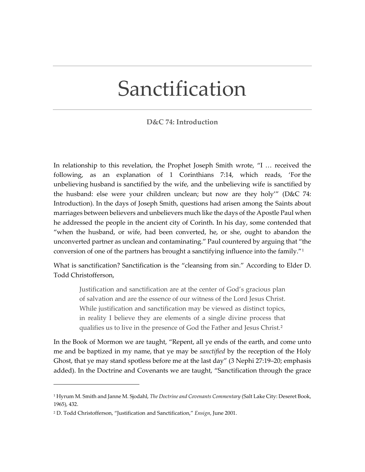## Sanctification

## **D&C 74: Introduction**

In relationship to this revelation, the Prophet Joseph Smith wrote, "I … received the following, as an explanation of 1 Corinthians 7:14, which reads, 'For the unbelieving husband is sanctified by the wife, and the unbelieving wife is sanctified by the husband: else were your children unclean; but now are they holy'" (D&C 74: Introduction). In the days of Joseph Smith, questions had arisen among the Saints about marriages between believers and unbelievers much like the days of the Apostle Paul when he addressed the people in the ancient city of Corinth. In his day, some contended that "when the husband, or wife, had been converted, he, or she, ought to abandon the unconverted partner as unclean and contaminating." Paul countered by arguing that "the conversion of one of the partners has brought a sanctifying influence into the family."[1](#page-0-0)

What is sanctification? Sanctification is the "cleansing from sin." According to Elder D. Todd Christofferson,

Justification and sanctification are at the center of God's gracious plan of salvation and are the essence of our witness of the Lord Jesus Christ. While justification and sanctification may be viewed as distinct topics, in reality I believe they are elements of a single divine process that qualifies us to live in the presence of God the Father and Jesus Christ.[2](#page-0-1)

In the Book of Mormon we are taught, "Repent, all ye ends of the earth, and come unto me and be baptized in my name, that ye may be *sanctified* by the reception of the Holy Ghost, that ye may stand spotless before me at the last day" (3 Nephi [27:19–20;](https://www.churchofjesuschrist.org/study/scriptures/bofm/3-ne/27.19-20?lang=eng#p19) emphasis added). In the Doctrine and Covenants we are taught, "Sanctification through the grace

<span id="page-0-0"></span><sup>1</sup> Hyrum M. Smith and Janne M. Sjodahl, *The Doctrine and Covenants Commentary* (Salt Lake City: Deseret Book, 1965), 432.

<span id="page-0-1"></span><sup>2</sup> D. Todd Christofferson, "Justification and Sanctification," *Ensign*, June 2001.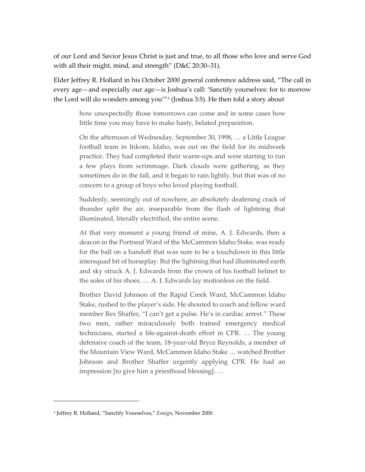of our Lord and Savior Jesus Christ is just and true, to all those who love and serve God with all their might, mind, and strength" (D&C [20:30–31\)](https://www.churchofjesuschrist.org/study/scriptures/dc-testament/dc/20.30-31?lang=eng#p30).

Elder Jeffrey R. Hollard in his October 2000 general conference address said, "The call in every age—and especially our age—is Joshua's call: 'Sanctify yourselves: for to morrow the Lord will do wonders among you'"[3](#page-1-0) (Joshua 3:5). He then told a story about

how unexpectedly those tomorrows can come and in some cases how little time you may have to make hasty, belated preparation.

On the afternoon of Wednesday, September 30, 1998, … a Little League football team in Inkom, Idaho, was out on the field for its midweek practice. They had completed their warm-ups and were starting to run a few plays from scrimmage. Dark clouds were gathering, as they sometimes do in the fall, and it began to rain lightly, but that was of no concern to a group of boys who loved playing football.

Suddenly, seemingly out of nowhere, an absolutely deafening crack of thunder split the air, inseparable from the flash of lightning that illuminated, literally electrified, the entire scene.

At that very moment a young friend of mine, A. J. Edwards, then a deacon in the Portneuf Ward of the McCammon Idaho Stake, was ready for the ball on a handoff that was sure to be a touchdown in this little intersquad bit of horseplay. But the lightning that had illuminated earth and sky struck A. J. Edwards from the crown of his football helmet to the soles of his shoes. … A. J. Edwards lay motionless on the field.

Brother David Johnson of the Rapid Creek Ward, McCammon Idaho Stake, rushed to the player's side. He shouted to coach and fellow ward member Rex Shaffer, "I can't get a pulse. He's in cardiac arrest." These two men, rather miraculously both trained emergency medical technicians, started a life-against-death effort in CPR. … The young defensive coach of the team, 18-year-old Bryce Reynolds, a member of the Mountain View Ward, McCammon Idaho Stake … watched Brother Johnson and Brother Shaffer urgently applying CPR. He had an impression [to give him a priesthood blessing]. …

<span id="page-1-0"></span><sup>3</sup> Jeffrey R. Holland, "Sanctify Yourselves," *Ensign*, November 2000.